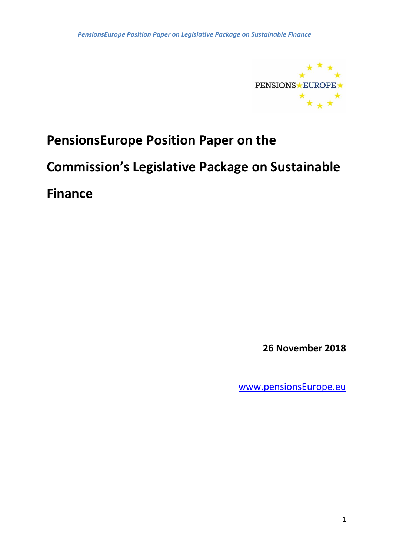

# **PensionsEurope Position Paper on the**

# **Commission's Legislative Package on Sustainable**

**Finance**

**26 November 2018**

[www.pensionsEurope.eu](http://www.pensionseurope.eu/)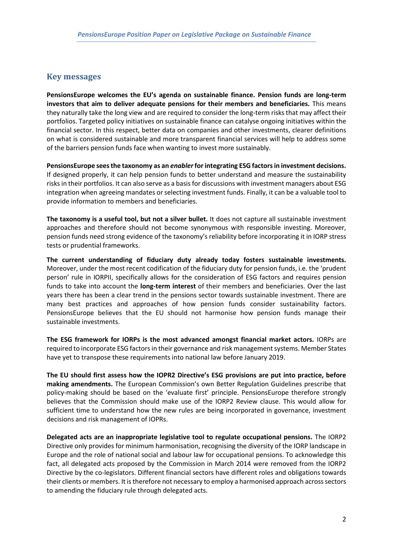# **Key messages**

**PensionsEurope welcomes the EU's agenda on sustainable finance. Pension funds are long-term investors that aim to deliver adequate pensions for their members and beneficiaries.** This means they naturally take the long view and are required to consider the long-term risks that may affect their portfolios. Targeted policy initiatives on sustainable finance can catalyse ongoing initiatives within the financial sector. In this respect, better data on companies and other investments, clearer definitions on what is considered sustainable and more transparent financial services will help to address some of the barriers pension funds face when wanting to invest more sustainably.

**PensionsEurope sees the taxonomy as an** *enabler* **for integrating ESG factors in investment decisions.** If designed properly, it can help pension funds to better understand and measure the sustainability risks in their portfolios. It can also serve as a basis for discussions with investment managers about ESG integration when agreeing mandates or selecting investment funds. Finally, it can be a valuable tool to provide information to members and beneficiaries.

**The taxonomy is a useful tool, but not a silver bullet.** It does not capture all sustainable investment approaches and therefore should not become synonymous with responsible investing. Moreover, pension funds need strong evidence of the taxonomy's reliability before incorporating it in IORP stress tests or prudential frameworks.

**The current understanding of fiduciary duty already today fosters sustainable investments.** Moreover, under the most recent codification of the fiduciary duty for pension funds, i.e. the 'prudent person' rule in IORPII, specifically allows for the consideration of ESG factors and requires pension funds to take into account the **long-term interest** of their members and beneficiaries. Over the last years there has been a clear trend in the pensions sector towards sustainable investment. There are many best practices and approaches of how pension funds consider sustainability factors. PensionsEurope believes that the EU should not harmonise how pension funds manage their sustainable investments.

**The ESG framework for IORPs is the most advanced amongst financial market actors.** IORPs are required to incorporate ESG factors in their governance and risk management systems. Member States have yet to transpose these requirements into national law before January 2019.

**The EU should first assess how the IOPR2 Directive's ESG provisions are put into practice, before making amendments.** The European Commission's own Better Regulation Guidelines prescribe that policy-making should be based on the 'evaluate first' principle. PensionsEurope therefore strongly believes that the Commission should make use of the IORP2 Review clause. This would allow for sufficient time to understand how the new rules are being incorporated in governance, investment decisions and risk management of IOPRs.

**Delegated acts are an inappropriate legislative tool to regulate occupational pensions.** The IORP2 Directive only provides for minimum harmonisation, recognising the diversity of the IORP landscape in Europe and the role of national social and labour law for occupational pensions. To acknowledge this fact, all delegated acts proposed by the Commission in March 2014 were removed from the IORP2 Directive by the co-legislators. Different financial sectors have different roles and obligations towards their clients or members. It is therefore not necessary to employ a harmonised approach across sectors to amending the fiduciary rule through delegated acts.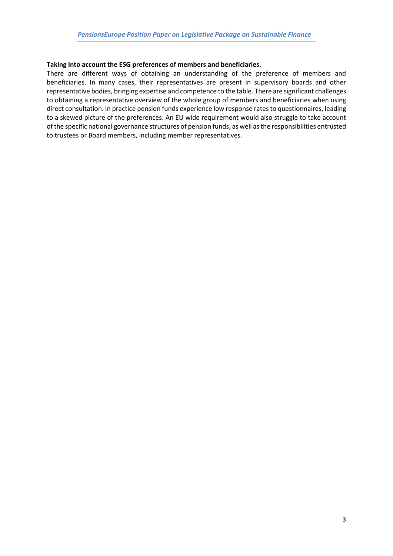#### **Taking into account the ESG preferences of members and beneficiaries.**

There are different ways of obtaining an understanding of the preference of members and beneficiaries. In many cases, their representatives are present in supervisory boards and other representative bodies, bringing expertise and competence to the table. There are significant challenges to obtaining a representative overview of the whole group of members and beneficiaries when using direct consultation. In practice pension funds experience low response rates to questionnaires, leading to a skewed picture of the preferences. An EU wide requirement would also struggle to take account of the specific national governance structures of pension funds, as well as the responsibilities entrusted to trustees or Board members, including member representatives.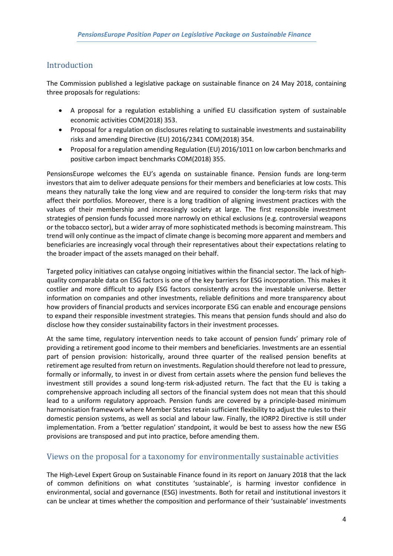# Introduction

The Commission published a legislative package on sustainable finance on 24 May 2018, containing three proposals for regulations:

- A proposal for a regulation establishing a unified EU classification system of sustainable economic activities COM(2018) 353.
- Proposal for a regulation on disclosures relating to sustainable investments and sustainability risks and amending Directive (EU) 2016/2341 COM(2018) 354.
- Proposal for a regulation amending Regulation (EU) 2016/1011 on low carbon benchmarks and positive carbon impact benchmarks COM(2018) 355.

PensionsEurope welcomes the EU's agenda on sustainable finance. Pension funds are long-term investors that aim to deliver adequate pensions for their members and beneficiaries at low costs. This means they naturally take the long view and are required to consider the long-term risks that may affect their portfolios. Moreover, there is a long tradition of aligning investment practices with the values of their membership and increasingly society at large. The first responsible investment strategies of pension funds focussed more narrowly on ethical exclusions (e.g. controversial weapons or the tobacco sector), but a wider array of more sophisticated methods is becoming mainstream. This trend will only continue as the impact of climate change is becoming more apparent and members and beneficiaries are increasingly vocal through their representatives about their expectations relating to the broader impact of the assets managed on their behalf.

Targeted policy initiatives can catalyse ongoing initiatives within the financial sector. The lack of highquality comparable data on ESG factors is one of the key barriers for ESG incorporation. This makes it costlier and more difficult to apply ESG factors consistently across the investable universe. Better information on companies and other investments, reliable definitions and more transparency about how providers of financial products and services incorporate ESG can enable and encourage pensions to expand their responsible investment strategies. This means that pension funds should and also do disclose how they consider sustainability factors in their investment processes.

At the same time, regulatory intervention needs to take account of pension funds' primary role of providing a retirement good income to their members and beneficiaries. Investments are an essential part of pension provision: historically, around three quarter of the realised pension benefits at retirement age resulted from return on investments. Regulation should therefore not lead to pressure, formally or informally, to invest in or divest from certain assets where the pension fund believes the investment still provides a sound long-term risk-adjusted return. The fact that the EU is taking a comprehensive approach including all sectors of the financial system does not mean that this should lead to a uniform regulatory approach. Pension funds are covered by a principle-based minimum harmonisation framework where Member States retain sufficient flexibility to adjust the rules to their domestic pension systems, as well as social and labour law. Finally, the IORP2 Directive is still under implementation. From a 'better regulation' standpoint, it would be best to assess how the new ESG provisions are transposed and put into practice, before amending them.

# Views on the proposal for a taxonomy for environmentally sustainable activities

The High-Level Expert Group on Sustainable Finance found in its report on January 2018 that the lack of common definitions on what constitutes 'sustainable', is harming investor confidence in environmental, social and governance (ESG) investments. Both for retail and institutional investors it can be unclear at times whether the composition and performance of their 'sustainable' investments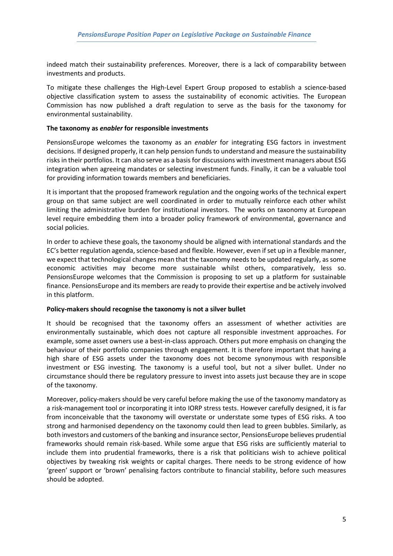indeed match their sustainability preferences. Moreover, there is a lack of comparability between investments and products.

To mitigate these challenges the High-Level Expert Group proposed to establish a science-based objective classification system to assess the sustainability of economic activities. The European Commission has now published a draft regulation to serve as the basis for the taxonomy for environmental sustainability.

#### **The taxonomy as** *enabler* **for responsible investments**

PensionsEurope welcomes the taxonomy as an *enabler* for integrating ESG factors in investment decisions. If designed properly, it can help pension funds to understand and measure the sustainability risks in their portfolios. It can also serve as a basis for discussions with investment managers about ESG integration when agreeing mandates or selecting investment funds. Finally, it can be a valuable tool for providing information towards members and beneficiaries.

It is important that the proposed framework regulation and the ongoing works of the technical expert group on that same subject are well coordinated in order to mutually reinforce each other whilst limiting the administrative burden for institutional investors. The works on taxonomy at European level require embedding them into a broader policy framework of environmental, governance and social policies.

In order to achieve these goals, the taxonomy should be aligned with international standards and the EC's better regulation agenda, science-based and flexible. However, even if set up in a flexible manner, we expect that technological changes mean that the taxonomy needs to be updated regularly, as some economic activities may become more sustainable whilst others, comparatively, less so. PensionsEurope welcomes that the Commission is proposing to set up a platform for sustainable finance. PensionsEurope and its members are ready to provide their expertise and be actively involved in this platform.

#### **Policy-makers should recognise the taxonomy is not a silver bullet**

It should be recognised that the taxonomy offers an assessment of whether activities are environmentally sustainable, which does not capture all responsible investment approaches. For example, some asset owners use a best-in-class approach. Others put more emphasis on changing the behaviour of their portfolio companies through engagement. It is therefore important that having a high share of ESG assets under the taxonomy does not become synonymous with responsible investment or ESG investing. The taxonomy is a useful tool, but not a silver bullet. Under no circumstance should there be regulatory pressure to invest into assets just because they are in scope of the taxonomy.

Moreover, policy-makers should be very careful before making the use of the taxonomy mandatory as a risk-management tool or incorporating it into IORP stress tests. However carefully designed, it is far from inconceivable that the taxonomy will overstate or understate some types of ESG risks. A too strong and harmonised dependency on the taxonomy could then lead to green bubbles. Similarly, as both investors and customers of the banking and insurance sector, PensionsEurope believes prudential frameworks should remain risk-based. While some argue that ESG risks are sufficiently material to include them into prudential frameworks, there is a risk that politicians wish to achieve political objectives by tweaking risk weights or capital charges. There needs to be strong evidence of how 'green' support or 'brown' penalising factors contribute to financial stability, before such measures should be adopted.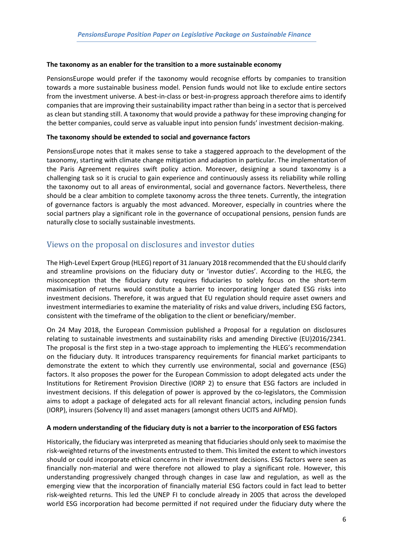#### **The taxonomy as an enabler for the transition to a more sustainable economy**

PensionsEurope would prefer if the taxonomy would recognise efforts by companies to transition towards a more sustainable business model. Pension funds would not like to exclude entire sectors from the investment universe. A best-in-class or best-in-progress approach therefore aims to identify companies that are improving their sustainability impact rather than being in a sector that is perceived as clean but standing still. A taxonomy that would provide a pathway for these improving changing for the better companies, could serve as valuable input into pension funds' investment decision-making.

#### **The taxonomy should be extended to social and governance factors**

PensionsEurope notes that it makes sense to take a staggered approach to the development of the taxonomy, starting with climate change mitigation and adaption in particular. The implementation of the Paris Agreement requires swift policy action. Moreover, designing a sound taxonomy is a challenging task so it is crucial to gain experience and continuously assess its reliability while rolling the taxonomy out to all areas of environmental, social and governance factors. Nevertheless, there should be a clear ambition to complete taxonomy across the three tenets. Currently, the integration of governance factors is arguably the most advanced. Moreover, especially in countries where the social partners play a significant role in the governance of occupational pensions, pension funds are naturally close to socially sustainable investments.

# Views on the proposal on disclosures and investor duties

The High-Level Expert Group (HLEG) report of 31 January 2018 recommended that the EU should clarify and streamline provisions on the fiduciary duty or 'investor duties'. According to the HLEG, the misconception that the fiduciary duty requires fiduciaries to solely focus on the short-term maximisation of returns would constitute a barrier to incorporating longer dated ESG risks into investment decisions. Therefore, it was argued that EU regulation should require asset owners and investment intermediaries to examine the materiality of risks and value drivers, including ESG factors, consistent with the timeframe of the obligation to the client or beneficiary/member.

On 24 May 2018, the European Commission published a Proposal for a regulation on disclosures relating to sustainable investments and sustainability risks and amending Directive (EU)2016/2341. The proposal is the first step in a two-stage approach to implementing the HLEG's recommendation on the fiduciary duty. It introduces transparency requirements for financial market participants to demonstrate the extent to which they currently use environmental, social and governance (ESG) factors. It also proposes the power for the European Commission to adopt delegated acts under the Institutions for Retirement Provision Directive (IORP 2) to ensure that ESG factors are included in investment decisions. If this delegation of power is approved by the co-legislators, the Commission aims to adopt a package of delegated acts for all relevant financial actors, including pension funds (IORP), insurers (Solvency II) and asset managers (amongst others UCITS and AIFMD).

# **A modern understanding of the fiduciary duty is not a barrier to the incorporation of ESG factors**

Historically, the fiduciary was interpreted as meaning that fiduciaries should only seek to maximise the risk-weighted returns of the investments entrusted to them. This limited the extent to which investors should or could incorporate ethical concerns in their investment decisions. ESG factors were seen as financially non-material and were therefore not allowed to play a significant role. However, this understanding progressively changed through changes in case law and regulation, as well as the emerging view that the incorporation of financially material ESG factors could in fact lead to better risk-weighted returns. This led the UNEP FI to conclude already in 2005 that across the developed world ESG incorporation had become permitted if not required under the fiduciary duty where the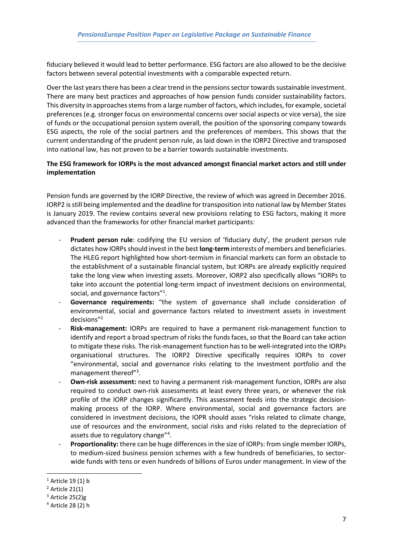fiduciary believed it would lead to better performance. ESG factors are also allowed to be the decisive factors between several potential investments with a comparable expected return.

Over the last years there has been a clear trend in the pensions sector towards sustainable investment. There are many best practices and approaches of how pension funds consider sustainability factors. This diversity in approaches stems from a large number of factors, which includes, for example, societal preferences (e.g. stronger focus on environmental concerns over social aspects or vice versa), the size of funds or the occupational pension system overall, the position of the sponsoring company towards ESG aspects, the role of the social partners and the preferences of members. This shows that the current understanding of the prudent person rule, as laid down in the IORP2 Directive and transposed into national law, has not proven to be a barrier towards sustainable investments.

### **The ESG framework for IORPs is the most advanced amongst financial market actors and still under implementation**

Pension funds are governed by the IORP Directive, the review of which was agreed in December 2016. IORP2 is still being implemented and the deadline for transposition into national law by Member States is January 2019. The review contains several new provisions relating to ESG factors, making it more advanced than the frameworks for other financial market participants:

- Prudent person rule: codifying the EU version of 'fiduciary duty', the prudent person rule dictates how IORPs should invest in the best **long-term** interests of members and beneficiaries. The HLEG report highlighted how short-termism in financial markets can form an obstacle to the establishment of a sustainable financial system, but IORPs are already explicitly required take the long view when investing assets. Moreover, IORP2 also specifically allows "IORPs to take into account the potential long-term impact of investment decisions on environmental, social, and governance factors"<sup>1</sup>.
- **Governance requirements:** "the system of governance shall include consideration of environmental, social and governance factors related to investment assets in investment decisions"<sup>2</sup>
- Risk-management: IORPs are required to have a permanent risk-management function to identify and report a broad spectrum of risks the funds faces, so that the Board can take action to mitigate these risks. The risk-management function has to be well-integrated into the IORPs organisational structures. The IORP2 Directive specifically requires IORPs to cover "environmental, social and governance risks relating to the investment portfolio and the management thereof"<sup>3</sup>.
- **Own-risk assessment:** next to having a permanent risk-management function, IORPs are also required to conduct own-risk assessments at least every three years, or whenever the risk profile of the IORP changes significantly. This assessment feeds into the strategic decisionmaking process of the IORP. Where environmental, social and governance factors are considered in investment decisions, the IOPR should asses "risks related to climate change, use of resources and the environment, social risks and risks related to the depreciation of assets due to regulatory change"<sup>4</sup>.
- **Proportionality:** there can be huge differences in the size of IORPs: from single member IORPs, to medium-sized business pension schemes with a few hundreds of beneficiaries, to sectorwide funds with tens or even hundreds of billions of Euros under management. In view of the

**.** 

 $1$  Article 19 (1) b

 $2$  Article 21(1)

 $3$  Article 25(2)g

<sup>4</sup> Article 28 (2) h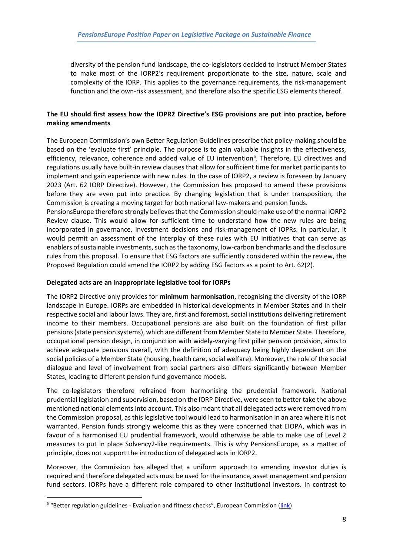diversity of the pension fund landscape, the co-legislators decided to instruct Member States to make most of the IORP2's requirement proportionate to the size, nature, scale and complexity of the IORP. This applies to the governance requirements, the risk-management function and the own-risk assessment, and therefore also the specific ESG elements thereof.

# **The EU should first assess how the IOPR2 Directive's ESG provisions are put into practice, before making amendments**

The European Commission's own Better Regulation Guidelines prescribe that policy-making should be based on the 'evaluate first' principle. The purpose is to gain valuable insights in the effectiveness, efficiency, relevance, coherence and added value of EU intervention<sup>5</sup>. Therefore, EU directives and regulations usually have built-in review clauses that allow for sufficient time for market participants to implement and gain experience with new rules. In the case of IORP2, a review is foreseen by January 2023 (Art. 62 IORP Directive). However, the Commission has proposed to amend these provisions before they are even put into practice. By changing legislation that is under transposition, the Commission is creating a moving target for both national law-makers and pension funds.

PensionsEurope therefore strongly believes that the Commission should make use of the normal IORP2 Review clause. This would allow for sufficient time to understand how the new rules are being incorporated in governance, investment decisions and risk-management of IOPRs. In particular, it would permit an assessment of the interplay of these rules with EU initiatives that can serve as enablers of sustainable investments, such as the taxonomy, low-carbon benchmarks and the disclosure rules from this proposal. To ensure that ESG factors are sufficiently considered within the review, the Proposed Regulation could amend the IORP2 by adding ESG factors as a point to Art. 62(2).

#### **Delegated acts are an inappropriate legislative tool for IORPs**

The IORP2 Directive only provides for **minimum harmonisation**, recognising the diversity of the IORP landscape in Europe. IORPs are embedded in historical developments in Member States and in their respective social and labour laws. They are, first and foremost, social institutions delivering retirement income to their members. Occupational pensions are also built on the foundation of first pillar pensions (state pension systems), which are different from Member State to Member State. Therefore, occupational pension design, in conjunction with widely-varying first pillar pension provision, aims to achieve adequate pensions overall, with the definition of adequacy being highly dependent on the social policies of a Member State (housing, health care, social welfare). Moreover, the role of the social dialogue and level of involvement from social partners also differs significantly between Member States, leading to different pension fund governance models.

The co-legislators therefore refrained from harmonising the prudential framework. National prudential legislation and supervision, based on the IORP Directive, were seen to better take the above mentioned national elements into account. This also meant that all delegated acts were removed from the Commission proposal, as this legislative tool would lead to harmonisation in an area where it is not warranted. Pension funds strongly welcome this as they were concerned that EIOPA, which was in favour of a harmonised EU prudential framework, would otherwise be able to make use of Level 2 measures to put in place Solvency2-like requirements. This is why PensionsEurope, as a matter of principle, does not support the introduction of delegated acts in IORP2.

Moreover, the Commission has alleged that a uniform approach to amending investor duties is required and therefore delegated acts must be used for the insurance, asset management and pension fund sectors. IORPs have a different role compared to other institutional investors. In contrast to

1

<sup>&</sup>lt;sup>5</sup> "Better regulation guidelines - Evaluation and fitness checks", European Commission ([link\)](https://ec.europa.eu/info/sites/info/files/better-regulation-guidelines-evaluation-fitness-checks.pdf)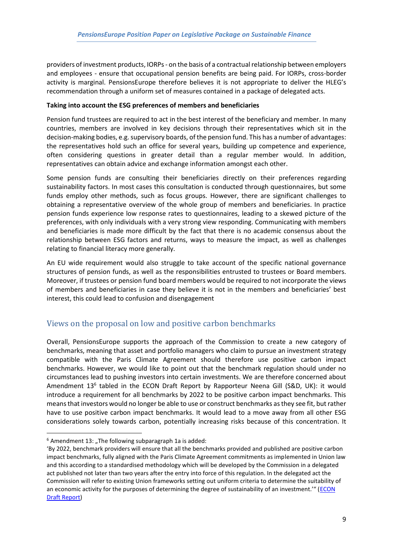providers of investment products, IORPs - on the basis of a contractual relationship between employers and employees - ensure that occupational pension benefits are being paid. For IORPs, cross-border activity is marginal. PensionsEurope therefore believes it is not appropriate to deliver the HLEG's recommendation through a uniform set of measures contained in a package of delegated acts.

#### **Taking into account the ESG preferences of members and beneficiaries**

Pension fund trustees are required to act in the best interest of the beneficiary and member. In many countries, members are involved in key decisions through their representatives which sit in the decision-making bodies, e.g. supervisory boards, of the pension fund. This has a number of advantages: the representatives hold such an office for several years, building up competence and experience, often considering questions in greater detail than a regular member would. In addition, representatives can obtain advice and exchange information amongst each other.

Some pension funds are consulting their beneficiaries directly on their preferences regarding sustainability factors. In most cases this consultation is conducted through questionnaires, but some funds employ other methods, such as focus groups. However, there are significant challenges to obtaining a representative overview of the whole group of members and beneficiaries. In practice pension funds experience low response rates to questionnaires, leading to a skewed picture of the preferences, with only individuals with a very strong view responding. Communicating with members and beneficiaries is made more difficult by the fact that there is no academic consensus about the relationship between ESG factors and returns, ways to measure the impact, as well as challenges relating to financial literacy more generally.

An EU wide requirement would also struggle to take account of the specific national governance structures of pension funds, as well as the responsibilities entrusted to trustees or Board members. Moreover, if trustees or pension fund board members would be required to not incorporate the views of members and beneficiaries in case they believe it is not in the members and beneficiaries' best interest, this could lead to confusion and disengagement

# Views on the proposal on low and positive carbon benchmarks

Overall, PensionsEurope supports the approach of the Commission to create a new category of benchmarks, meaning that asset and portfolio managers who claim to pursue an investment strategy compatible with the Paris Climate Agreement should therefore use positive carbon impact benchmarks. However, we would like to point out that the benchmark regulation should under no circumstances lead to pushing investors into certain investments. We are therefore concerned about Amendment 13<sup>6</sup> tabled in the ECON Draft Report by Rapporteur Neena Gill (S&D, UK): it would introduce a requirement for all benchmarks by 2022 to be positive carbon impact benchmarks. This means that investors would no longer be able to use or construct benchmarks as they see fit, but rather have to use positive carbon impact benchmarks. It would lead to a move away from all other ESG considerations solely towards carbon, potentially increasing risks because of this concentration. It

**.** 

 $6$  Amendment 13: "The following subparagraph 1a is added:

<sup>&#</sup>x27;By 2022, benchmark providers will ensure that all the benchmarks provided and published are positive carbon impact benchmarks, fully aligned with the Paris Climate Agreement commitments as implemented in Union law and this according to a standardised methodology which will be developed by the Commission in a delegated act published not later than two years after the entry into force of this regulation. In the delegated act the Commission will refer to existing Union frameworks setting out uniform criteria to determine the suitability of an economic activity for the purposes of determining the degree of sustainability of an investment.'" (ECON [Draft Report\)](http://www.europarl.europa.eu/sides/getDoc.do?pubRef=-%2f%2fEP%2f%2fNONSGML%2bCOMPARL%2bPE-628.440%2b01%2bDOC%2bPDF%2bV0%2f%2fEN)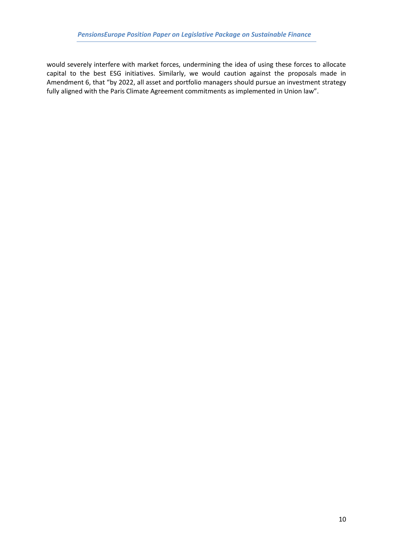would severely interfere with market forces, undermining the idea of using these forces to allocate capital to the best ESG initiatives. Similarly, we would caution against the proposals made in Amendment 6, that "by 2022, all asset and portfolio managers should pursue an investment strategy fully aligned with the Paris Climate Agreement commitments as implemented in Union law".